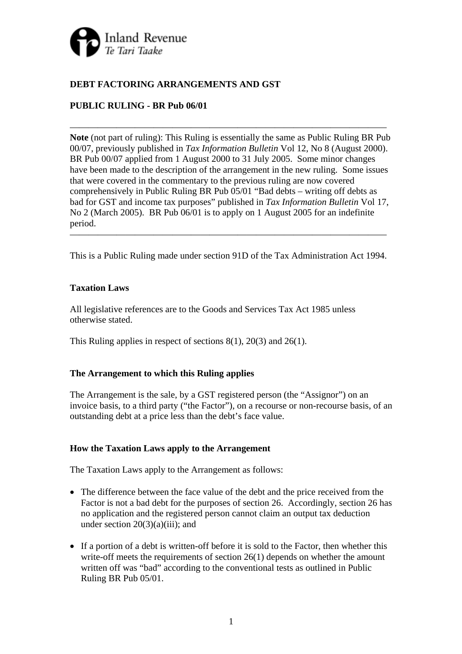

## **DEBT FACTORING ARRANGEMENTS AND GST**

# **PUBLIC RULING - BR Pub 06/01**

**Note** (not part of ruling): This Ruling is essentially the same as Public Ruling BR Pub 00/07, previously published in *Tax Information Bulletin* Vol 12, No 8 (August 2000). BR Pub 00/07 applied from 1 August 2000 to 31 July 2005. Some minor changes have been made to the description of the arrangement in the new ruling. Some issues that were covered in the commentary to the previous ruling are now covered comprehensively in Public Ruling BR Pub 05/01 "Bad debts – writing off debts as bad for GST and income tax purposes" published in *Tax Information Bulletin* Vol 17, No 2 (March 2005). BR Pub 06/01 is to apply on 1 August 2005 for an indefinite period.

 $\overline{\phantom{a}}$  , and the contract of the contract of the contract of  $\overline{\phantom{a}}$ 

This is a Public Ruling made under section 91D of the Tax Administration Act 1994.

 $\overline{\phantom{a}}$  , and the contract of the contract of the contract of  $\overline{\phantom{a}}$ 

### **Taxation Laws**

All legislative references are to the Goods and Services Tax Act 1985 unless otherwise stated.

This Ruling applies in respect of sections 8(1), 20(3) and 26(1).

### **The Arrangement to which this Ruling applies**

The Arrangement is the sale, by a GST registered person (the "Assignor") on an invoice basis, to a third party ("the Factor"), on a recourse or non-recourse basis, of an outstanding debt at a price less than the debt's face value.

### **How the Taxation Laws apply to the Arrangement**

The Taxation Laws apply to the Arrangement as follows:

- The difference between the face value of the debt and the price received from the Factor is not a bad debt for the purposes of section 26. Accordingly, section 26 has no application and the registered person cannot claim an output tax deduction under section 20(3)(a)(iii); and
- If a portion of a debt is written-off before it is sold to the Factor, then whether this write-off meets the requirements of section 26(1) depends on whether the amount written off was "bad" according to the conventional tests as outlined in Public Ruling BR Pub 05/01.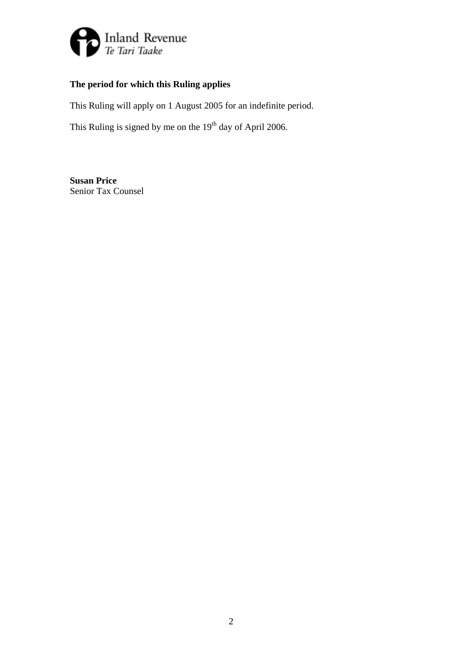

# **The period for which this Ruling applies**

This Ruling will apply on 1 August 2005 for an indefinite period.

This Ruling is signed by me on the  $19<sup>th</sup>$  day of April 2006.

**Susan Price**  Senior Tax Counsel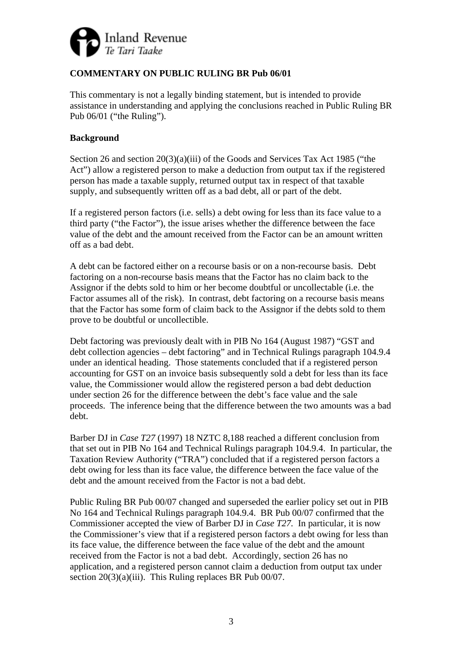

# **COMMENTARY ON PUBLIC RULING BR Pub 06/01**

This commentary is not a legally binding statement, but is intended to provide assistance in understanding and applying the conclusions reached in Public Ruling BR Pub 06/01 ("the Ruling").

### **Background**

Section 26 and section 20(3)(a)(iii) of the Goods and Services Tax Act 1985 ("the Act") allow a registered person to make a deduction from output tax if the registered person has made a taxable supply, returned output tax in respect of that taxable supply, and subsequently written off as a bad debt, all or part of the debt.

If a registered person factors (i.e. sells) a debt owing for less than its face value to a third party ("the Factor"), the issue arises whether the difference between the face value of the debt and the amount received from the Factor can be an amount written off as a bad debt.

A debt can be factored either on a recourse basis or on a non-recourse basis. Debt factoring on a non-recourse basis means that the Factor has no claim back to the Assignor if the debts sold to him or her become doubtful or uncollectable (i.e. the Factor assumes all of the risk). In contrast, debt factoring on a recourse basis means that the Factor has some form of claim back to the Assignor if the debts sold to them prove to be doubtful or uncollectible.

Debt factoring was previously dealt with in PIB No 164 (August 1987) "GST and debt collection agencies – debt factoring" and in Technical Rulings paragraph 104.9.4 under an identical heading. Those statements concluded that if a registered person accounting for GST on an invoice basis subsequently sold a debt for less than its face value, the Commissioner would allow the registered person a bad debt deduction under section 26 for the difference between the debt's face value and the sale proceeds. The inference being that the difference between the two amounts was a bad debt.

Barber DJ in *Case T27* (1997) 18 NZTC 8,188 reached a different conclusion from that set out in PIB No 164 and Technical Rulings paragraph 104.9.4. In particular, the Taxation Review Authority ("TRA") concluded that if a registered person factors a debt owing for less than its face value, the difference between the face value of the debt and the amount received from the Factor is not a bad debt.

Public Ruling BR Pub 00/07 changed and superseded the earlier policy set out in PIB No 164 and Technical Rulings paragraph 104.9.4. BR Pub 00/07 confirmed that the Commissioner accepted the view of Barber DJ in *Case T27.* In particular, it is now the Commissioner's view that if a registered person factors a debt owing for less than its face value, the difference between the face value of the debt and the amount received from the Factor is not a bad debt. Accordingly, section 26 has no application, and a registered person cannot claim a deduction from output tax under section 20(3)(a)(iii). This Ruling replaces BR Pub 00/07.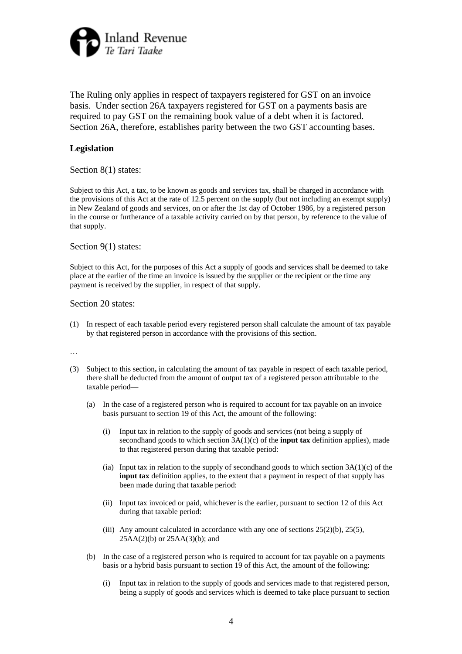

The Ruling only applies in respect of taxpayers registered for GST on an invoice basis. Under section 26A taxpayers registered for GST on a payments basis are required to pay GST on the remaining book value of a debt when it is factored. Section 26A, therefore, establishes parity between the two GST accounting bases.

### **Legislation**

#### Section 8(1) states:

Subject to this Act, a tax, to be known as goods and services tax, shall be charged in accordance with the provisions of this Act at the rate of 12.5 percent on the supply (but not including an exempt supply) in New Zealand of goods and services, on or after the 1st day of October 1986, by a registered person in the course or furtherance of a taxable activity carried on by that person, by reference to the value of that supply.

Section 9(1) states:

Subject to this Act, for the purposes of this Act a supply of goods and services shall be deemed to take place at the earlier of the time an invoice is issued by the supplier or the recipient or the time any payment is received by the supplier, in respect of that supply.

#### Section 20 states:

(1) In respect of each taxable period every registered person shall calculate the amount of tax payable by that registered person in accordance with the provisions of this section.

…

- (3) Subject to this section**,** in calculating the amount of tax payable in respect of each taxable period, there shall be deducted from the amount of output tax of a registered person attributable to the taxable period—
	- (a) In the case of a registered person who is required to account for tax payable on an invoice basis pursuant to section 19 of this Act, the amount of the following:
		- (i) Input tax in relation to the supply of goods and services (not being a supply of secondhand goods to which section 3A(1)(c) of the **input tax** definition applies), made to that registered person during that taxable period:
		- (ia) Input tax in relation to the supply of secondhand goods to which section  $3A(1)(c)$  of the **input tax** definition applies, to the extent that a payment in respect of that supply has been made during that taxable period:
		- (ii) Input tax invoiced or paid, whichever is the earlier, pursuant to section 12 of this Act during that taxable period:
		- (iii) Any amount calculated in accordance with any one of sections  $25(2)(b)$ ,  $25(5)$ ,  $25AA(2)(b)$  or  $25AA(3)(b)$ ; and
	- (b) In the case of a registered person who is required to account for tax payable on a payments basis or a hybrid basis pursuant to section 19 of this Act, the amount of the following:
		- (i) Input tax in relation to the supply of goods and services made to that registered person, being a supply of goods and services which is deemed to take place pursuant to section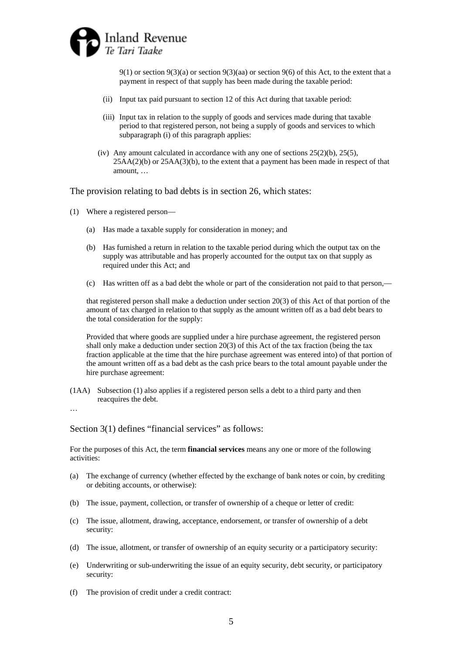

9(1) or section 9(3)(a) or section 9(3)(aa) or section 9(6) of this Act, to the extent that a payment in respect of that supply has been made during the taxable period:

- (ii) Input tax paid pursuant to section 12 of this Act during that taxable period:
- (iii) Input tax in relation to the supply of goods and services made during that taxable period to that registered person, not being a supply of goods and services to which subparagraph (i) of this paragraph applies:
- (iv) Any amount calculated in accordance with any one of sections  $25(2)(b)$ ,  $25(5)$ , 25AA(2)(b) or 25AA(3)(b), to the extent that a payment has been made in respect of that amount, …

The provision relating to bad debts is in section 26, which states:

- (1) Where a registered person—
	- (a) Has made a taxable supply for consideration in money; and
	- (b) Has furnished a return in relation to the taxable period during which the output tax on the supply was attributable and has properly accounted for the output tax on that supply as required under this Act; and
	- (c) Has written off as a bad debt the whole or part of the consideration not paid to that person,—

that registered person shall make a deduction under section 20(3) of this Act of that portion of the amount of tax charged in relation to that supply as the amount written off as a bad debt bears to the total consideration for the supply:

Provided that where goods are supplied under a hire purchase agreement, the registered person shall only make a deduction under section 20(3) of this Act of the tax fraction (being the tax fraction applicable at the time that the hire purchase agreement was entered into) of that portion of the amount written off as a bad debt as the cash price bears to the total amount payable under the hire purchase agreement:

(1AA) Subsection (1) also applies if a registered person sells a debt to a third party and then reacquires the debt.

…

Section 3(1) defines "financial services" as follows:

For the purposes of this Act, the term **financial services** means any one or more of the following activities:

- (a) The exchange of currency (whether effected by the exchange of bank notes or coin, by crediting or debiting accounts, or otherwise):
- (b) The issue, payment, collection, or transfer of ownership of a cheque or letter of credit:
- (c) The issue, allotment, drawing, acceptance, endorsement, or transfer of ownership of a debt security:
- (d) The issue, allotment, or transfer of ownership of an equity security or a participatory security:
- (e) Underwriting or sub-underwriting the issue of an equity security, debt security, or participatory security:
- (f) The provision of credit under a credit contract: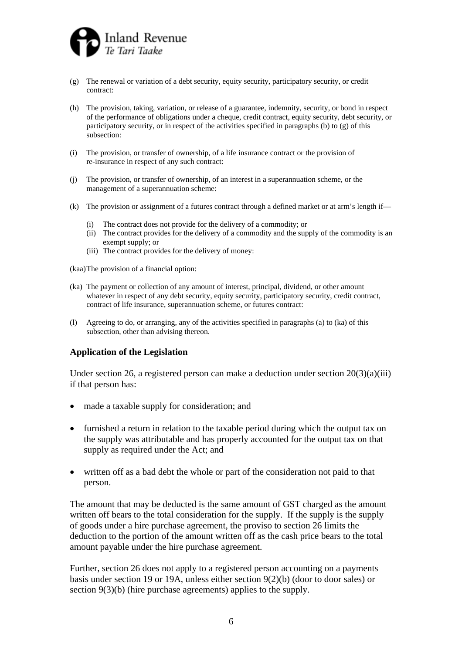

- (g) The renewal or variation of a debt security, equity security, participatory security, or credit contract:
- (h) The provision, taking, variation, or release of a guarantee, indemnity, security, or bond in respect of the performance of obligations under a cheque, credit contract, equity security, debt security, or participatory security, or in respect of the activities specified in paragraphs (b) to (g) of this subsection:
- (i) The provision, or transfer of ownership, of a life insurance contract or the provision of re-insurance in respect of any such contract:
- (j) The provision, or transfer of ownership, of an interest in a superannuation scheme, or the management of a superannuation scheme:
- (k) The provision or assignment of a futures contract through a defined market or at arm's length if—
	- (i) The contract does not provide for the delivery of a commodity; or
	- (ii) The contract provides for the delivery of a commodity and the supply of the commodity is an exempt supply; or
	- (iii) The contract provides for the delivery of money:

(kaa) The provision of a financial option:

- (ka) The payment or collection of any amount of interest, principal, dividend, or other amount whatever in respect of any debt security, equity security, participatory security, credit contract, contract of life insurance, superannuation scheme, or futures contract:
- (l) Agreeing to do, or arranging, any of the activities specified in paragraphs (a) to (ka) of this subsection, other than advising thereon.

#### **Application of the Legislation**

Under section 26, a registered person can make a deduction under section  $20(3)(a)(iii)$ if that person has:

- made a taxable supply for consideration; and
- furnished a return in relation to the taxable period during which the output tax on the supply was attributable and has properly accounted for the output tax on that supply as required under the Act; and
- written off as a bad debt the whole or part of the consideration not paid to that person.

The amount that may be deducted is the same amount of GST charged as the amount written off bears to the total consideration for the supply. If the supply is the supply of goods under a hire purchase agreement, the proviso to section 26 limits the deduction to the portion of the amount written off as the cash price bears to the total amount payable under the hire purchase agreement.

Further, section 26 does not apply to a registered person accounting on a payments basis under section 19 or 19A, unless either section 9(2)(b) (door to door sales) or section 9(3)(b) (hire purchase agreements) applies to the supply.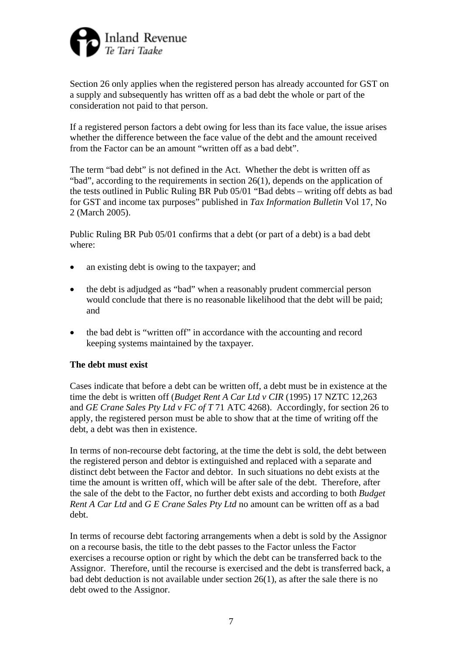

Section 26 only applies when the registered person has already accounted for GST on a supply and subsequently has written off as a bad debt the whole or part of the consideration not paid to that person.

If a registered person factors a debt owing for less than its face value, the issue arises whether the difference between the face value of the debt and the amount received from the Factor can be an amount "written off as a bad debt".

The term "bad debt" is not defined in the Act. Whether the debt is written off as "bad", according to the requirements in section 26(1), depends on the application of the tests outlined in Public Ruling BR Pub 05/01 "Bad debts – writing off debts as bad for GST and income tax purposes" published in *Tax Information Bulletin* Vol 17, No 2 (March 2005).

Public Ruling BR Pub 05/01 confirms that a debt (or part of a debt) is a bad debt where:

- an existing debt is owing to the taxpayer; and
- the debt is adjudged as "bad" when a reasonably prudent commercial person would conclude that there is no reasonable likelihood that the debt will be paid; and
- the bad debt is "written off" in accordance with the accounting and record keeping systems maintained by the taxpayer.

### **The debt must exist**

Cases indicate that before a debt can be written off, a debt must be in existence at the time the debt is written off (*Budget Rent A Car Ltd v CIR* (1995) 17 NZTC 12,263 and *GE Crane Sales Pty Ltd v FC of T* 71 ATC 4268). Accordingly, for section 26 to apply, the registered person must be able to show that at the time of writing off the debt, a debt was then in existence.

In terms of non-recourse debt factoring, at the time the debt is sold, the debt between the registered person and debtor is extinguished and replaced with a separate and distinct debt between the Factor and debtor. In such situations no debt exists at the time the amount is written off, which will be after sale of the debt. Therefore, after the sale of the debt to the Factor, no further debt exists and according to both *Budget Rent A Car Ltd* and *G E Crane Sales Pty Ltd* no amount can be written off as a bad debt.

In terms of recourse debt factoring arrangements when a debt is sold by the Assignor on a recourse basis, the title to the debt passes to the Factor unless the Factor exercises a recourse option or right by which the debt can be transferred back to the Assignor. Therefore, until the recourse is exercised and the debt is transferred back, a bad debt deduction is not available under section 26(1), as after the sale there is no debt owed to the Assignor.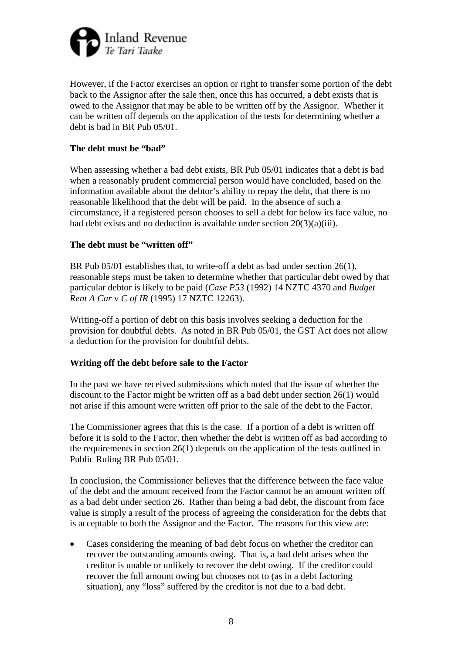

However, if the Factor exercises an option or right to transfer some portion of the debt back to the Assignor after the sale then, once this has occurred, a debt exists that is owed to the Assignor that may be able to be written off by the Assignor. Whether it can be written off depends on the application of the tests for determining whether a debt is bad in BR Pub 05/01.

### **The debt must be "bad"**

When assessing whether a bad debt exists, BR Pub 05/01 indicates that a debt is bad when a reasonably prudent commercial person would have concluded, based on the information available about the debtor's ability to repay the debt, that there is no reasonable likelihood that the debt will be paid. In the absence of such a circumstance, if a registered person chooses to sell a debt for below its face value, no bad debt exists and no deduction is available under section 20(3)(a)(iii).

### **The debt must be "written off"**

BR Pub 05/01 establishes that, to write-off a debt as bad under section 26(1), reasonable steps must be taken to determine whether that particular debt owed by that particular debtor is likely to be paid (*Case P53* (1992) 14 NZTC 4370 and *Budget Rent A Car* v *C of IR* (1995) 17 NZTC 12263).

Writing-off a portion of debt on this basis involves seeking a deduction for the provision for doubtful debts. As noted in BR Pub 05/01, the GST Act does not allow a deduction for the provision for doubtful debts.

### **Writing off the debt before sale to the Factor**

In the past we have received submissions which noted that the issue of whether the discount to the Factor might be written off as a bad debt under section 26(1) would not arise if this amount were written off prior to the sale of the debt to the Factor.

The Commissioner agrees that this is the case. If a portion of a debt is written off before it is sold to the Factor, then whether the debt is written off as bad according to the requirements in section 26(1) depends on the application of the tests outlined in Public Ruling BR Pub 05/01.

In conclusion, the Commissioner believes that the difference between the face value of the debt and the amount received from the Factor cannot be an amount written off as a bad debt under section 26. Rather than being a bad debt, the discount from face value is simply a result of the process of agreeing the consideration for the debts that is acceptable to both the Assignor and the Factor. The reasons for this view are:

• Cases considering the meaning of bad debt focus on whether the creditor can recover the outstanding amounts owing. That is, a bad debt arises when the creditor is unable or unlikely to recover the debt owing. If the creditor could recover the full amount owing but chooses not to (as in a debt factoring situation), any "loss" suffered by the creditor is not due to a bad debt.